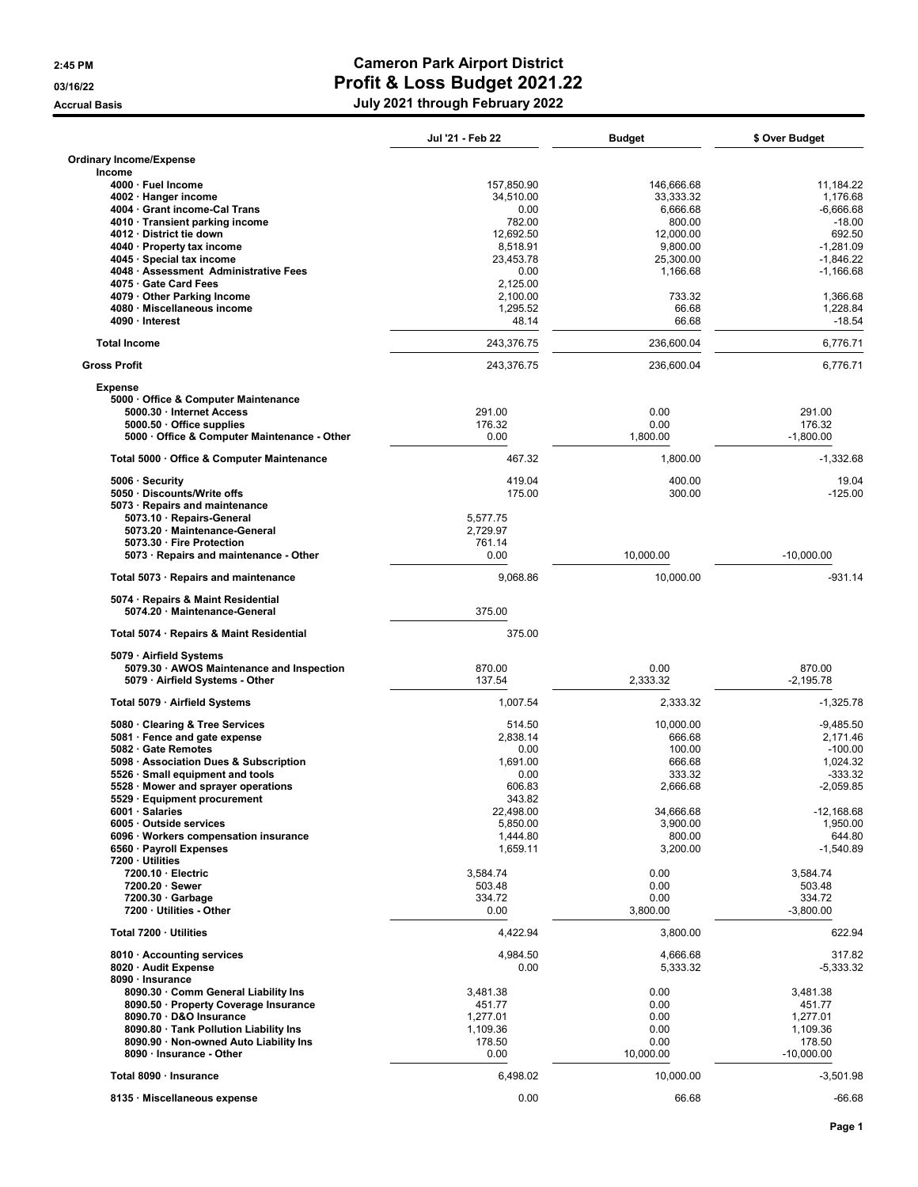## 2:45 PM Cameron Park Airport District 03/16/22 **Profit & Loss Budget 2021.22** Accrual Basis **Accrual Basis** Accrual Basis **July 2021** through February 2022

|                                                     | Jul '21 - Feb 22 | Budget           | \$ Over Budget        |
|-----------------------------------------------------|------------------|------------------|-----------------------|
| <b>Ordinary Income/Expense</b>                      |                  |                  |                       |
| Income                                              |                  |                  |                       |
| 4000 · Fuel Income                                  | 157,850.90       | 146,666.68       | 11,184.22             |
| 4002 · Hanger income                                | 34,510.00        | 33,333.32        | 1,176.68              |
| 4004 Grant income-Cal Trans                         | 0.00             | 6,666.68         | $-6,666.68$           |
| 4010 Transient parking income                       | 782.00           | 800.00           | $-18.00$              |
| 4012 District tie down                              | 12.692.50        | 12,000.00        | 692.50                |
| 4040 · Property tax income                          | 8,518.91         | 9,800.00         | $-1,281.09$           |
| 4045 · Special tax income                           | 23,453.78        | 25,300.00        | $-1,846.22$           |
| 4048 · Assessment Administrative Fees               | 0.00             | 1,166.68         | $-1,166.68$           |
| 4075 · Gate Card Fees                               | 2.125.00         |                  |                       |
| 4079 Other Parking Income                           | 2,100.00         | 733.32           | 1,366.68              |
| 4080 · Miscellaneous income                         | 1,295.52         | 66.68            | 1.228.84              |
| 4090 · Interest                                     | 48.14            | 66.68            | $-18.54$              |
| <b>Total Income</b>                                 | 243,376.75       | 236,600.04       | 6,776.71              |
| <b>Gross Profit</b>                                 | 243,376.75       | 236,600.04       | 6,776.71              |
| <b>Expense</b>                                      |                  |                  |                       |
| 5000 · Office & Computer Maintenance                |                  |                  |                       |
| 5000.30 · Internet Access                           | 291.00           | 0.00             | 291.00                |
| 5000.50 · Office supplies                           | 176.32           | 0.00             | 176.32                |
| 5000 Office & Computer Maintenance - Other          | 0.00             | 1,800.00         | $-1,800.00$           |
| Total 5000 · Office & Computer Maintenance          | 467.32           | 1,800.00         | $-1,332.68$           |
| 5006 · Security                                     | 419.04           | 400.00           | 19.04                 |
| 5050 · Discounts/Write offs                         | 175.00           | 300.00           | $-125.00$             |
| 5073 · Repairs and maintenance                      |                  |                  |                       |
| 5073.10 · Repairs-General                           | 5,577.75         |                  |                       |
| 5073.20 · Maintenance-General                       | 2,729.97         |                  |                       |
| 5073.30 · Fire Protection                           | 761.14           |                  |                       |
| 5073 · Repairs and maintenance - Other              | 0.00             | 10,000.00        | $-10,000.00$          |
| Total 5073 · Repairs and maintenance                | 9,068.86         | 10,000.00        | $-931.14$             |
| 5074 · Repairs & Maint Residential                  |                  |                  |                       |
| 5074.20 · Maintenance-General                       | 375.00           |                  |                       |
| Total 5074 · Repairs & Maint Residential            | 375.00           |                  |                       |
|                                                     |                  |                  |                       |
| 5079 · Airfield Systems                             |                  |                  |                       |
| 5079.30 · AWOS Maintenance and Inspection           | 870.00           | 0.00             | 870.00                |
| 5079 · Airfield Systems - Other                     | 137.54           | 2,333.32         | $-2,195.78$           |
| Total 5079 · Airfield Systems                       | 1,007.54         | 2,333.32         | $-1,325.78$           |
|                                                     | 514.50           |                  | $-9.485.50$           |
| 5080 Clearing & Tree Services                       |                  | 10,000.00        |                       |
| 5081 · Fence and gate expense<br>5082 Gate Remotes  | 2,838.14         | 666.68           | 2,171.46              |
|                                                     | 0.00<br>1,691.00 | 100.00           | $-100.00$<br>1,024.32 |
| 5098 · Association Dues & Subscription              |                  | 666.68           |                       |
| 5526 · Small equipment and tools                    | 0.00             | 333.32           | $-333.32$             |
| 5528 Mower and sprayer operations                   | 606.83           | 2,666.68         | $-2,059.85$           |
| 5529 · Equipment procurement                        | 343.82           |                  |                       |
| 6001 · Salaries                                     | 22,498.00        | 34,666.68        | $-12,168.68$          |
| 6005 Outside services                               | 5,850.00         | 3,900.00         | 1,950.00              |
| 6096 · Workers compensation insurance               | 1.444.80         | 800.00           | 644.80                |
| 6560 · Payroll Expenses                             | 1,659.11         | 3,200.00         | $-1,540.89$           |
| 7200 · Utilities                                    |                  |                  |                       |
| 7200.10 · Electric                                  | 3,584.74         | 0.00             | 3,584.74              |
| 7200.20 · Sewer                                     | 503.48           | 0.00             | 503.48                |
| $7200.30 \cdot$ Garbage<br>7200 · Utilities - Other | 334.72<br>0.00   | 0.00<br>3,800.00 | 334.72<br>$-3,800.00$ |
|                                                     |                  |                  |                       |
| Total 7200 · Utilities                              | 4,422.94         | 3,800.00         | 622.94                |
| 8010 · Accounting services                          | 4,984.50         | 4,666.68         | 317.82                |
| 8020 · Audit Expense                                | 0.00             | 5,333.32         | $-5,333.32$           |
| 8090 · Insurance                                    |                  |                  |                       |
| 8090.30 · Comm General Liability Ins                | 3,481.38         | 0.00             | 3,481.38              |
| 8090.50 · Property Coverage Insurance               | 451.77           | 0.00             | 451.77                |
| 8090.70 · D&O Insurance                             | 1,277.01         | 0.00             | 1,277.01              |
| 8090.80 · Tank Pollution Liability Ins              | 1,109.36         | 0.00             | 1,109.36              |
|                                                     | 178.50           |                  |                       |
| 8090.90 · Non-owned Auto Liability Ins              |                  | 0.00             | 178.50                |
| 8090 · Insurance - Other                            | 0.00             | 10,000.00        | $-10,000.00$          |
| Total 8090 · Insurance                              | 6,498.02         | 10,000.00        | $-3,501.98$           |
| 8135 · Miscellaneous expense                        | 0.00             | 66.68            | $-66.68$              |
|                                                     |                  |                  |                       |